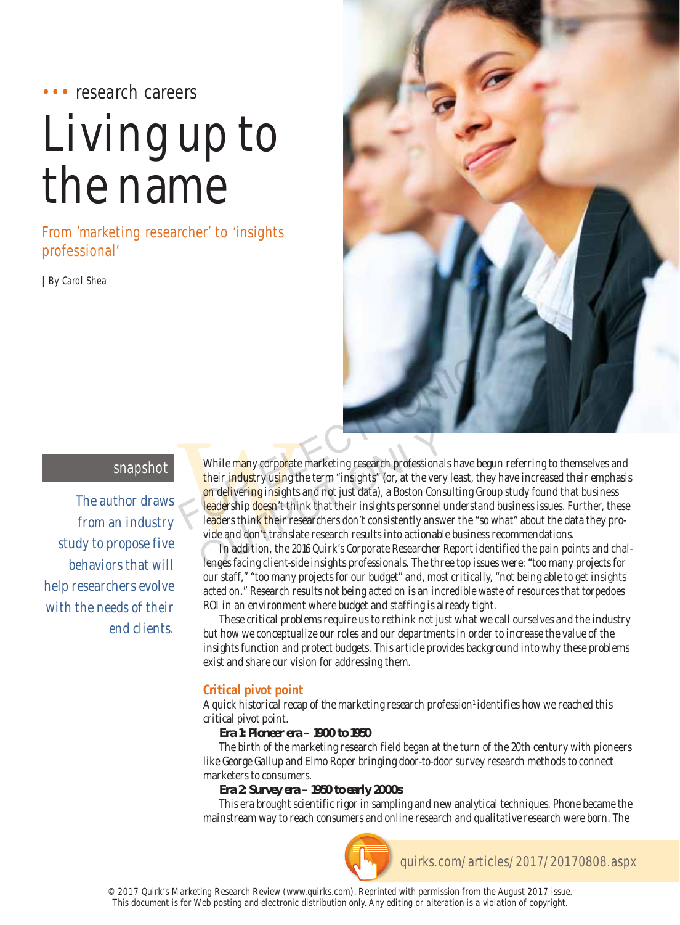# ••• research careers

# Living up to the name

From 'marketing researcher' to 'insights professional'

| By Carol Shea



## snapshot

The author draws from an industry study to propose five behaviors that will help researchers evolve with the needs of their end clients.

While many corporate<br>their industry using the<br>on delivering insights<br>leadership doesn't thin<br>leaders think their res<br>vide and don't translat<br>In addition, the 20 While many corporate marketing research professionals have begun referring to themselves and their industry using the term "insights" (or, at the very least, they have increased their emphasis on delivering insights and not just data), a Boston Consulting Group study found that business leadership doesn't think that their insights personnel understand business issues. Further, these leaders think their researchers don't consistently answer the "so what" about the data they provide and don't translate research results into actionable business recommendations. While many corporate marketing research professionals have begy<br>their industry using the term "insights" (or, at the very least, they<br>on delivering insights and not just data), a Boston Consulting Grou<br>leadership doesn't t While many corporate marketing research professional<br>their industry using the term "insights" (or, at the very<br>on delivering insights and not just data), a Boston Cons<br>leadership doesn't think that their insights personnel

In addition, the 2016 Quirk's Corporate Researcher Report identified the pain points and challenges facing client-side insights professionals. The three top issues were: "too many projects for our staff," "too many projects for our budget" and, most critically, "not being able to get insights acted on." Research results not being acted on is an incredible waste of resources that torpedoes ROI in an environment where budget and staffing is already tight.

These critical problems require us to rethink not just what we call ourselves and the industry but how we conceptualize our roles and our departments in order to increase the value of the insights function and protect budgets. This article provides background into why these problems exist and share our vision for addressing them.

### **Critical pivot point**

A quick historical recap of the marketing research profession<sup>1</sup> identifies how we reached this critical pivot point.

#### **Era 1: Pioneer era – 1900 to 1950**

The birth of the marketing research field began at the turn of the 20th century with pioneers like George Gallup and Elmo Roper bringing door-to-door survey research methods to connect marketers to consumers.

#### **Era 2: Survey era – 1950 to early 2000s**

This era brought scientific rigor in sampling and new analytical techniques. Phone became the mainstream way to reach consumers and online research and qualitative research were born. The

quirks.com/articles/2017/20170808.aspx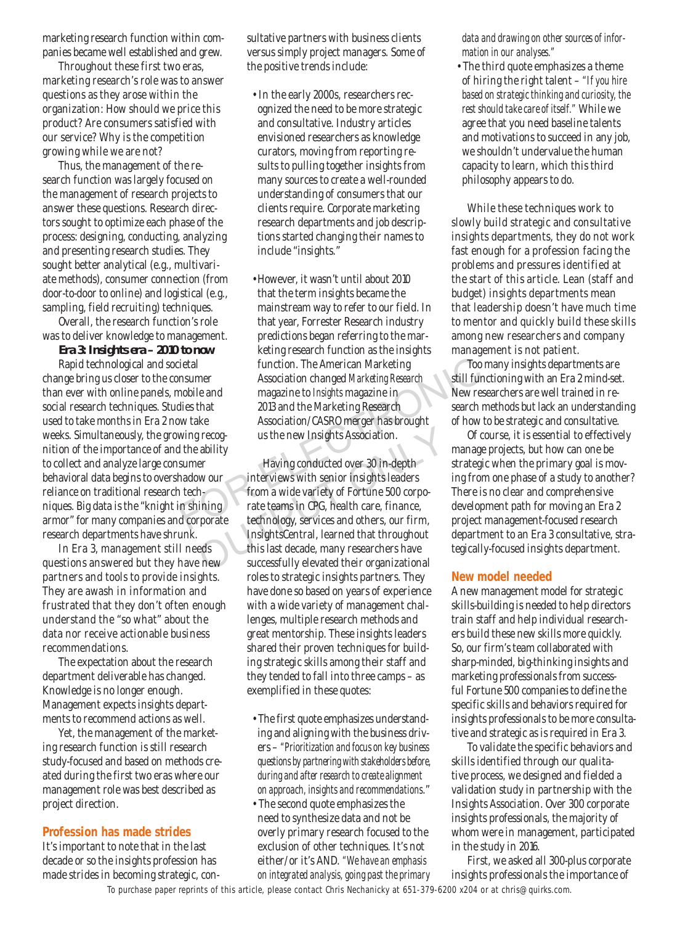marketing research function within companies became well established and grew.

Throughout these first two eras, marketing research's role was to answer questions as they arose within the organization: How should we price this product? Are consumers satisfied with our service? Why is the competition growing while we are not?

Thus, the management of the research function was largely focused on the management of research projects to answer these questions. Research directors sought to optimize each phase of the process: designing, conducting, analyzing and presenting research studies. They sought better analytical (e.g., multivariate methods), consumer connection (from door-to-door to online) and logistical (e.g., sampling, field recruiting) techniques.

Overall, the research function's role was to deliver knowledge to management.

**Era 3: Insights era – 2010 to now**

Rapid technological and societal change bring us closer to the consumer than ever with online panels, mobile and social research techniques. Studies that used to take months in Era 2 now take weeks. Simultaneously, the growing recognition of the importance of and the ability to collect and analyze large consumer behavioral data begins to overshadow our reliance on traditional research techniques. Big data is the "knight in shining armor" for many companies and corporate research departments have shrunk.

In Era 3, management still needs questions answered but they have new partners and tools to provide insights. They are awash in information and frustrated that they don't often enough understand the "so what" about the data nor receive actionable business recommendations.

The expectation about the research department deliverable has changed. Knowledge is no longer enough. Management expects insights departments to recommend actions as well.

Yet, the management of the marketing research function is still research study-focused and based on methods created during the first two eras where our management role was best described as project direction.

#### **Profession has made strides**

It's important to note that in the last decade or so the insights profession has made strides in becoming strategic, consultative partners with business clients versus simply project managers. Some of the positive trends include:

- In the early 2000s, researchers recognized the need to be more strategic and consultative. Industry articles envisioned researchers as knowledge curators, moving from reporting results to pulling together insights from many sources to create a well-rounded understanding of consumers that our clients require. Corporate marketing research departments and job descriptions started changing their names to include "insights."
- However, it wasn't until about 2010 that the term insights became the mainstream way to refer to our field. In that year, Forrester Research industry predictions began referring to the marketing research function as the insights function. The American Marketing Association changed *Marketing Research* magazine to *Insights* magazine in 2013 and the Marketing Research Association/CASRO merger has brought us the new Insights Association. Next tietal function. The American Marketing Too mainsumer and the Association changed Marketing Research still funct magazine to *Insights* magazine in Mew research wor take Association/CASRO merger has brought wing recog

Having conducted over 30 in-depth interviews with senior insights leaders from a wide variety of Fortune 500 corporate teams in CPG, health care, finance, technology, services and others, our firm, InsightsCentral, learned that throughout this last decade, many researchers have successfully elevated their organizational roles to strategic insights partners. They have done so based on years of experience with a wide variety of management challenges, multiple research methods and great mentorship. These insights leaders shared their proven techniques for building strategic skills among their staff and they tended to fall into three camps – as exemplified in these quotes: Example 18 and their own the set of the set of the set of the set of the set of the set of the set of the set of the set of the set of the set of the set of the set of the set of the set of the set of the set of the set of

- The first quote emphasizes understanding and aligning with the business drivers – *"Prioritization and focus on key business questions by partnering with stakeholders before, during and after research to create alignment on approach, insights and recommendations*."
- The second quote emphasizes the need to synthesize data and not be overly primary research focused to the exclusion of other techniques. It's not either/or it's AND. *"We have an emphasis on integrated analysis, going past the primary*

*data and drawing on other sources of information in our analyses."*

• The third quote emphasizes a theme of hiring the right talent – *"If you hire based on strategic thinking and curiosity, the rest should take care of itself."* While we agree that you need baseline talents and motivations to succeed in any job, we shouldn't undervalue the human capacity to learn, which this third philosophy appears to do.

While these techniques work to slowly build strategic and consultative insights departments, they do not work fast enough for a profession facing the problems and pressures identified at the start of this article. Lean (staff and budget) insights departments mean that leadership doesn't have much time to mentor and quickly build these skills among new researchers and company management is not patient.

Too many insights departments are still functioning with an Era 2 mind-set. New researchers are well trained in research methods but lack an understanding of how to be strategic and consultative.

Of course, it is essential to effectively manage projects, but how can one be strategic when the primary goal is moving from one phase of a study to another? There is no clear and comprehensive development path for moving an Era 2 project management-focused research department to an Era 3 consultative, strategically-focused insights department.

#### **New model needed**

A new management model for strategic skills-building is needed to help directors train staff and help individual researchers build these new skills more quickly. So, our firm's team collaborated with sharp-minded, big-thinking insights and marketing professionals from successful Fortune 500 companies to define the specific skills and behaviors required for insights professionals to be more consultative and strategic as is required in Era 3.

To validate the specific behaviors and skills identified through our qualitative process, we designed and fielded a validation study in partnership with the Insights Association. Over 300 corporate insights professionals, the majority of whom were in management, participated in the study in 2016.

First, we asked all 300-plus corporate insights professionals the importance of

To purchase paper reprints of this article, please contact Chris Nechanicky at 651-379-6200 x204 or at chris@quirks.com.